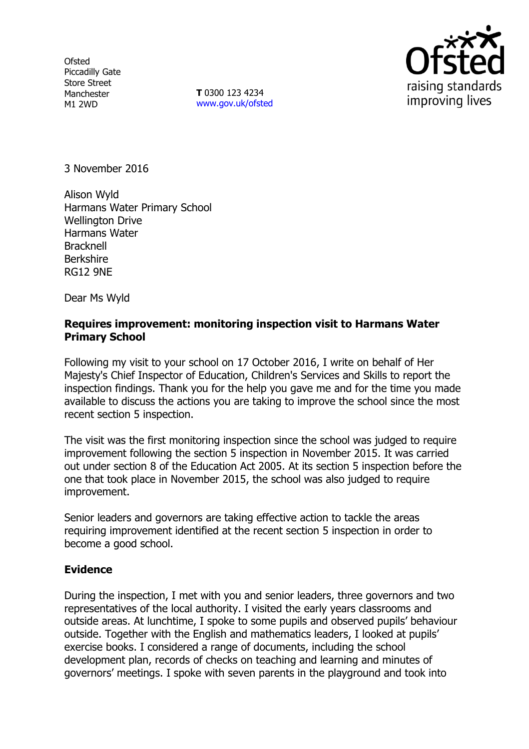**Ofsted** Piccadilly Gate Store Street Manchester M1 2WD

**T** 0300 123 4234 www.gov.uk/ofsted



3 November 2016

Alison Wyld Harmans Water Primary School Wellington Drive Harmans Water Bracknell Berkshire RG12 9NE

Dear Ms Wyld

# **Requires improvement: monitoring inspection visit to Harmans Water Primary School**

Following my visit to your school on 17 October 2016, I write on behalf of Her Majesty's Chief Inspector of Education, Children's Services and Skills to report the inspection findings. Thank you for the help you gave me and for the time you made available to discuss the actions you are taking to improve the school since the most recent section 5 inspection.

The visit was the first monitoring inspection since the school was judged to require improvement following the section 5 inspection in November 2015. It was carried out under section 8 of the Education Act 2005. At its section 5 inspection before the one that took place in November 2015, the school was also judged to require improvement.

Senior leaders and governors are taking effective action to tackle the areas requiring improvement identified at the recent section 5 inspection in order to become a good school.

# **Evidence**

During the inspection, I met with you and senior leaders, three governors and two representatives of the local authority. I visited the early years classrooms and outside areas. At lunchtime, I spoke to some pupils and observed pupils' behaviour outside. Together with the English and mathematics leaders, I looked at pupils' exercise books. I considered a range of documents, including the school development plan, records of checks on teaching and learning and minutes of governors' meetings. I spoke with seven parents in the playground and took into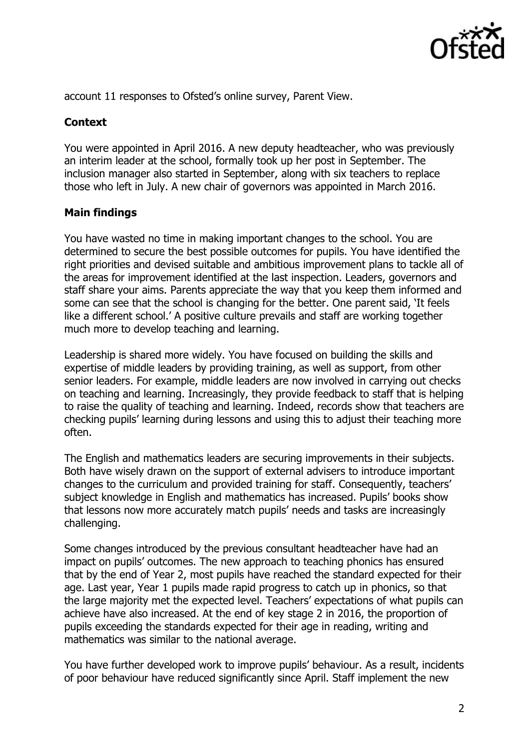

account 11 responses to Ofsted's online survey, Parent View.

# **Context**

You were appointed in April 2016. A new deputy headteacher, who was previously an interim leader at the school, formally took up her post in September. The inclusion manager also started in September, along with six teachers to replace those who left in July. A new chair of governors was appointed in March 2016.

# **Main findings**

You have wasted no time in making important changes to the school. You are determined to secure the best possible outcomes for pupils. You have identified the right priorities and devised suitable and ambitious improvement plans to tackle all of the areas for improvement identified at the last inspection. Leaders, governors and staff share your aims. Parents appreciate the way that you keep them informed and some can see that the school is changing for the better. One parent said, 'It feels like a different school.' A positive culture prevails and staff are working together much more to develop teaching and learning.

Leadership is shared more widely. You have focused on building the skills and expertise of middle leaders by providing training, as well as support, from other senior leaders. For example, middle leaders are now involved in carrying out checks on teaching and learning. Increasingly, they provide feedback to staff that is helping to raise the quality of teaching and learning. Indeed, records show that teachers are checking pupils' learning during lessons and using this to adjust their teaching more often.

The English and mathematics leaders are securing improvements in their subjects. Both have wisely drawn on the support of external advisers to introduce important changes to the curriculum and provided training for staff. Consequently, teachers' subject knowledge in English and mathematics has increased. Pupils' books show that lessons now more accurately match pupils' needs and tasks are increasingly challenging.

Some changes introduced by the previous consultant headteacher have had an impact on pupils' outcomes. The new approach to teaching phonics has ensured that by the end of Year 2, most pupils have reached the standard expected for their age. Last year, Year 1 pupils made rapid progress to catch up in phonics, so that the large majority met the expected level. Teachers' expectations of what pupils can achieve have also increased. At the end of key stage 2 in 2016, the proportion of pupils exceeding the standards expected for their age in reading, writing and mathematics was similar to the national average.

You have further developed work to improve pupils' behaviour. As a result, incidents of poor behaviour have reduced significantly since April. Staff implement the new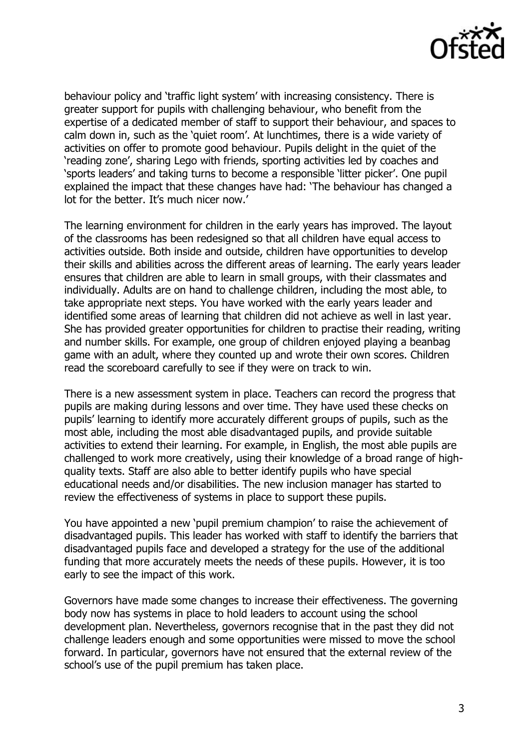

behaviour policy and 'traffic light system' with increasing consistency. There is greater support for pupils with challenging behaviour, who benefit from the expertise of a dedicated member of staff to support their behaviour, and spaces to calm down in, such as the 'quiet room'. At lunchtimes, there is a wide variety of activities on offer to promote good behaviour. Pupils delight in the quiet of the 'reading zone', sharing Lego with friends, sporting activities led by coaches and 'sports leaders' and taking turns to become a responsible 'litter picker'. One pupil explained the impact that these changes have had: 'The behaviour has changed a lot for the better. It's much nicer now.'

The learning environment for children in the early years has improved. The layout of the classrooms has been redesigned so that all children have equal access to activities outside. Both inside and outside, children have opportunities to develop their skills and abilities across the different areas of learning. The early years leader ensures that children are able to learn in small groups, with their classmates and individually. Adults are on hand to challenge children, including the most able, to take appropriate next steps. You have worked with the early years leader and identified some areas of learning that children did not achieve as well in last year. She has provided greater opportunities for children to practise their reading, writing and number skills. For example, one group of children enjoyed playing a beanbag game with an adult, where they counted up and wrote their own scores. Children read the scoreboard carefully to see if they were on track to win.

There is a new assessment system in place. Teachers can record the progress that pupils are making during lessons and over time. They have used these checks on pupils' learning to identify more accurately different groups of pupils, such as the most able, including the most able disadvantaged pupils, and provide suitable activities to extend their learning. For example, in English, the most able pupils are challenged to work more creatively, using their knowledge of a broad range of highquality texts. Staff are also able to better identify pupils who have special educational needs and/or disabilities. The new inclusion manager has started to review the effectiveness of systems in place to support these pupils.

You have appointed a new 'pupil premium champion' to raise the achievement of disadvantaged pupils. This leader has worked with staff to identify the barriers that disadvantaged pupils face and developed a strategy for the use of the additional funding that more accurately meets the needs of these pupils. However, it is too early to see the impact of this work.

Governors have made some changes to increase their effectiveness. The governing body now has systems in place to hold leaders to account using the school development plan. Nevertheless, governors recognise that in the past they did not challenge leaders enough and some opportunities were missed to move the school forward. In particular, governors have not ensured that the external review of the school's use of the pupil premium has taken place.